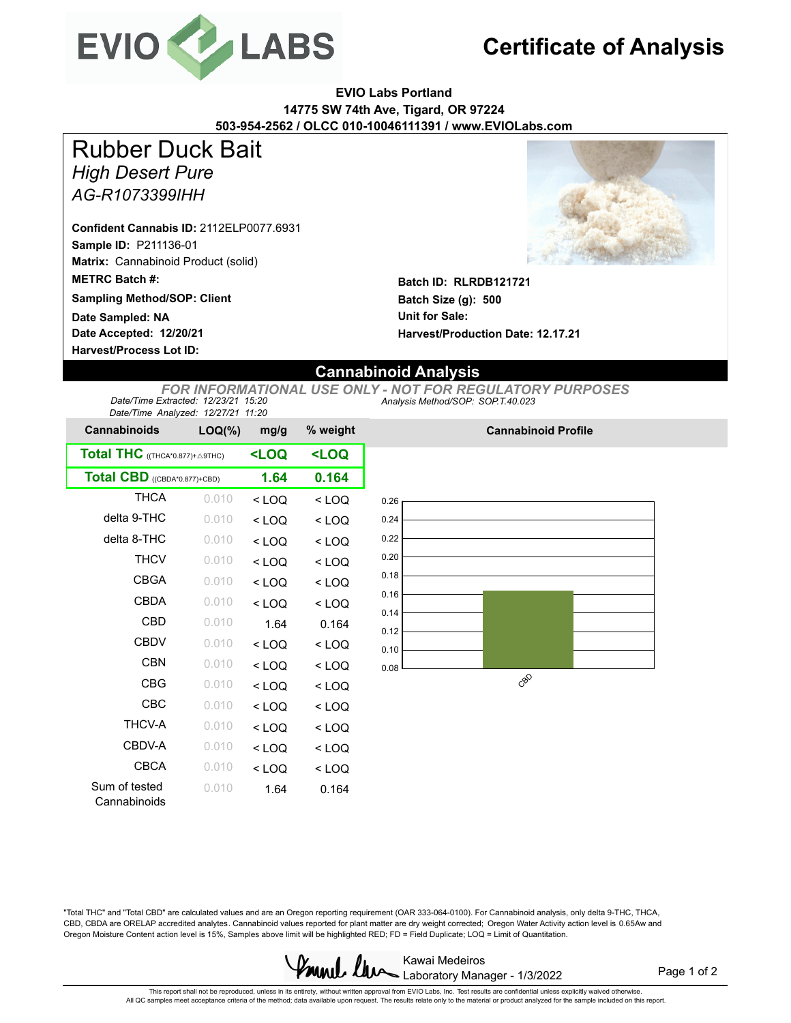

## **Certificate of Analysis**

**EVIO Labs Portland 14775 SW 74th Ave, Tigard, OR 97224 503-954-2562 / OLCC 010-10046111391 / www.EVIOLabs.com**

*High Desert Pure AG-R1073399IHH* Rubber Duck Bait

**Sample ID:** P211136-01 **Matrix:** Cannabinoid Product (solid) **METRC Batch #: Confident Cannabis ID:** 2112ELP0077.6931

**Sampling Method/SOP: Client Date Sampled: NA**

**Date Accepted: 12/20/21 Harvest/Process Lot ID:** 



**Batch ID: RLRDB121721 Batch Size (g): 500 Unit for Sale: Harvest/Production Date: 12.17.21**

## **Cannabinoid Analysis**

*Analysis Method/SOP: SOP.T.40.023 FOR INFORMATIONAL USE ONLY - NOT FOR REGULATORY PURPOSES Date/Time Extracted: 12/23/21 15:20 Date/Time Analyzed: 12/27/21 11:20*

| <b>Cannabinoids</b>             | $LOQ(\%)$ | mg/g                                                        | % weight            |  |
|---------------------------------|-----------|-------------------------------------------------------------|---------------------|--|
| Total THC ((THCA*0.877)+ A9THC) |           | <loq< th=""><th colspan="2"><loq< th=""></loq<></th></loq<> | <loq< th=""></loq<> |  |
| Total CBD ((CBDA*0.877)+CBD)    | 1.64      | 0.164                                                       |                     |  |
| <b>THCA</b>                     | 0.010     | $<$ LOQ                                                     | $<$ LOQ             |  |
| delta 9-THC                     | 0.010     | $<$ LOQ                                                     | $<$ LOQ             |  |
| delta 8-THC                     | 0.010     | $<$ LOQ                                                     | $<$ LOQ             |  |
| <b>THCV</b>                     | 0.010     | $<$ LOQ                                                     | $<$ LOQ             |  |
| <b>CBGA</b>                     | 0.010     | $<$ LOQ                                                     | $<$ LOQ             |  |
| <b>CBDA</b>                     | 0.010     | $<$ LOQ                                                     | $<$ LOQ             |  |
| CBD                             | 0.010     | 1.64                                                        | 0.164               |  |
| <b>CBDV</b>                     | 0.010     | $<$ LOQ                                                     | $<$ LOQ             |  |
| CBN                             | 0.010     | $<$ LOQ                                                     | $<$ LOQ             |  |
| <b>CBG</b>                      | 0.010     | $<$ LOQ                                                     | $<$ LOQ             |  |
| CBC                             | 0.010     | $<$ LOQ                                                     | $<$ LOQ             |  |
| <b>THCV-A</b>                   | 0.010     | $<$ LOQ                                                     | $<$ LOQ             |  |
| CBDV-A                          | 0.010     | $<$ LOQ                                                     | $<$ LOQ             |  |
| <b>CBCA</b>                     | 0.010     | $<$ LOQ                                                     | < LOQ               |  |
| Sum of tested<br>Cannabinoids   | 0.010     | 1.64                                                        | 0.164               |  |



**Cannabinoid Profile**

"Total THC" and "Total CBD" are calculated values and are an Oregon reporting requirement (OAR 333-064-0100). For Cannabinoid analysis, only delta 9-THC, THCA, CBD, CBDA are ORELAP accredited analytes. Cannabinoid values reported for plant matter are dry weight corrected; Oregon Water Activity action level is 0.65Aw and Oregon Moisture Content action level is 15%, Samples above limit will be highlighted RED; FD = Field Duplicate; LOQ = Limit of Quantitation.